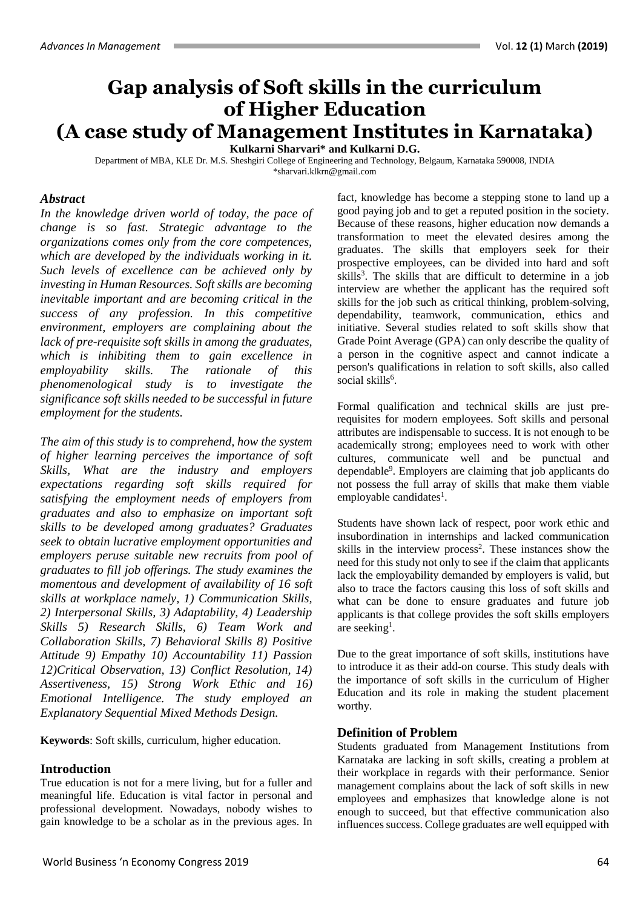# **Gap analysis of Soft skills in the curriculum of Higher Education (A case study of Management Institutes in Karnataka)**

**Kulkarni Sharvari\* and Kulkarni D.G.**

Department of MBA, KLE Dr. M.S. Sheshgiri College of Engineering and Technology, Belgaum, Karnataka 590008, INDIA [\\*sharvari.klkrn@gmail.com](mailto:sharvari.klkrn@gmail.com)

### *Abstract*

*In the knowledge driven world of today, the pace of change is so fast. Strategic advantage to the organizations comes only from the core competences, which are developed by the individuals working in it. Such levels of excellence can be achieved only by investing in Human Resources. Soft skills are becoming inevitable important and are becoming critical in the success of any profession. In this competitive environment, employers are complaining about the lack of pre-requisite soft skills in among the graduates, which is inhibiting them to gain excellence in employability skills. The rationale of this phenomenological study is to investigate the significance soft skills needed to be successful in future employment for the students.*

*The aim of this study is to comprehend, how the system of higher learning perceives the importance of soft Skills, What are the industry and employers expectations regarding soft skills required for satisfying the employment needs of employers from graduates and also to emphasize on important soft skills to be developed among graduates? Graduates seek to obtain lucrative employment opportunities and employers peruse suitable new recruits from pool of graduates to fill job offerings. The study examines the momentous and development of availability of 16 soft skills at workplace namely, 1) Communication Skills, 2) Interpersonal Skills, 3) Adaptability, 4) Leadership Skills 5) Research Skills, 6) Team Work and Collaboration Skills, 7) Behavioral Skills 8) Positive Attitude 9) Empathy 10) Accountability 11) Passion 12)Critical Observation, 13) Conflict Resolution, 14) Assertiveness, 15) Strong Work Ethic and 16) Emotional Intelligence. The study employed an Explanatory Sequential Mixed Methods Design.*

**Keywords**: Soft skills, curriculum, higher education.

## **Introduction**

True education is not for a mere living, but for a fuller and meaningful life. Education is vital factor in personal and professional development*.* Nowadays, nobody wishes to gain knowledge to be a scholar as in the previous ages. In

fact, knowledge has become a stepping stone to land up a good paying job and to get a reputed position in the society. Because of these reasons, higher education now demands a transformation to meet the elevated desires among the graduates. The skills that employers seek for their prospective employees, can be divided into hard and soft skills<sup>3</sup>. The skills that are difficult to determine in a job interview are whether the applicant has the required soft skills for the job such as critical thinking, problem-solving, dependability, teamwork, communication, ethics and initiative. Several studies related to soft skills show that Grade Point Average (GPA) can only describe the quality of a person in the cognitive aspect and cannot indicate a person's qualifications in relation to soft skills, also called social skills<sup>6</sup>.

Formal qualification and technical skills are just prerequisites for modern employees. Soft skills and personal attributes are indispensable to success. It is not enough to be academically strong; employees need to work with other cultures, communicate well and be punctual and dependable<sup>9</sup> . Employers are claiming that job applicants do not possess the full array of skills that make them viable employable candidates<sup>1</sup>.

Students have shown lack of respect, poor work ethic and insubordination in internships and lacked communication skills in the interview process<sup>2</sup>. These instances show the need for this study not only to see if the claim that applicants lack the employability demanded by employers is valid, but also to trace the factors causing this loss of soft skills and what can be done to ensure graduates and future job applicants is that college provides the soft skills employers are seeking<sup>1</sup>.

Due to the great importance of soft skills, institutions have to introduce it as their add-on course. This study deals with the importance of soft skills in the curriculum of Higher Education and its role in making the student placement worthy.

#### **Definition of Problem**

Students graduated from Management Institutions from Karnataka are lacking in soft skills, creating a problem at their workplace in regards with their performance. Senior management complains about the lack of soft skills in new employees and emphasizes that knowledge alone is not enough to succeed, but that effective communication also influences success. College graduates are well equipped with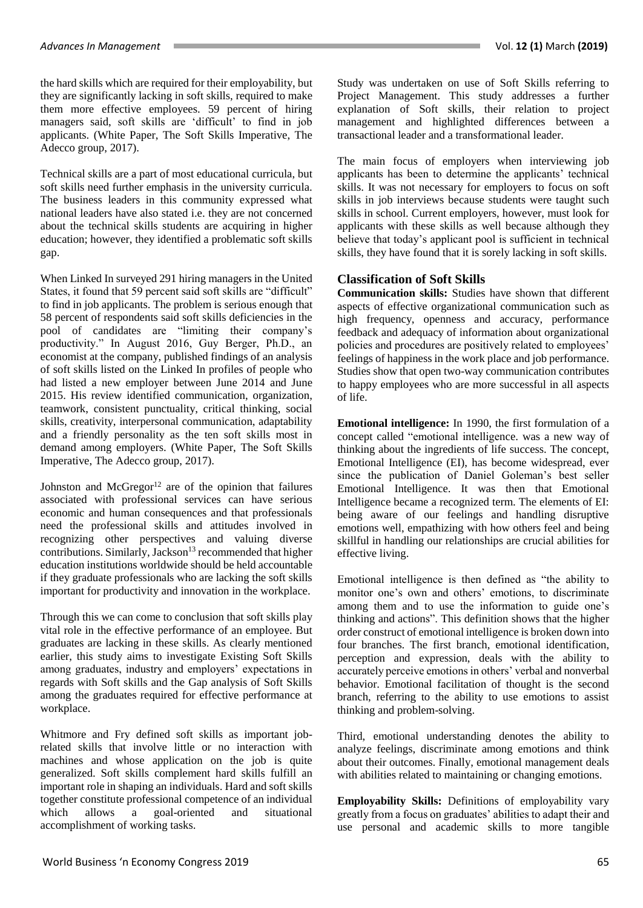the hard skills which are required for their employability, but they are significantly lacking in soft skills, required to make them more effective employees. 59 percent of hiring managers said, soft skills are 'difficult' to find in job applicants. (White Paper, The Soft Skills Imperative, The Adecco group, 2017).

Technical skills are a part of most educational curricula, but soft skills need further emphasis in the university curricula. The business leaders in this community expressed what national leaders have also stated i.e. they are not concerned about the technical skills students are acquiring in higher education; however, they identified a problematic soft skills gap.

When Linked In surveyed 291 hiring managers in the United States, it found that 59 percent said soft skills are "difficult" to find in job applicants. The problem is serious enough that 58 percent of respondents said soft skills deficiencies in the pool of candidates are "limiting their company's productivity." In August 2016, Guy Berger, Ph.D., an economist at the company, published findings of an analysis of soft skills listed on the Linked In profiles of people who had listed a new employer between June 2014 and June 2015. His review identified communication, organization, teamwork, consistent punctuality, critical thinking, social skills, creativity, interpersonal communication, adaptability and a friendly personality as the ten soft skills most in demand among employers. (White Paper, The Soft Skills Imperative, The Adecco group, 2017).

Johnston and  $McGregor<sup>12</sup>$  are of the opinion that failures associated with professional services can have serious economic and human consequences and that professionals need the professional skills and attitudes involved in recognizing other perspectives and valuing diverse contributions. Similarly, Jackson<sup>13</sup> recommended that higher education institutions worldwide should be held accountable if they graduate professionals who are lacking the soft skills important for productivity and innovation in the workplace.

Through this we can come to conclusion that soft skills play vital role in the effective performance of an employee. But graduates are lacking in these skills. As clearly mentioned earlier, this study aims to investigate Existing Soft Skills among graduates, industry and employers' expectations in regards with Soft skills and the Gap analysis of Soft Skills among the graduates required for effective performance at workplace.

Whitmore and Fry defined soft skills as important jobrelated skills that involve little or no interaction with machines and whose application on the job is quite generalized. Soft skills complement hard skills fulfill an important role in shaping an individuals. Hard and soft skills together constitute professional competence of an individual<br>which allows a goal-oriented and situational allows a goal-oriented and situational accomplishment of working tasks.

Study was undertaken on use of Soft Skills referring to Project Management. This study addresses a further explanation of Soft skills, their relation to project management and highlighted differences between a transactional leader and a transformational leader.

The main focus of employers when interviewing job applicants has been to determine the applicants' technical skills. It was not necessary for employers to focus on soft skills in job interviews because students were taught such skills in school. Current employers, however, must look for applicants with these skills as well because although they believe that today's applicant pool is sufficient in technical skills, they have found that it is sorely lacking in soft skills.

## **Classification of Soft Skills**

**Communication skills:** Studies have shown that different aspects of effective organizational communication such as high frequency, openness and accuracy, performance feedback and adequacy of information about organizational policies and procedures are positively related to employees' feelings of happiness in the work place and job performance. Studies show that open two-way communication contributes to happy employees who are more successful in all aspects of life.

**Emotional intelligence:** In 1990, the first formulation of a concept called "emotional intelligence. was a new way of thinking about the ingredients of life success. The concept, Emotional Intelligence (EI), has become widespread, ever since the publication of Daniel Goleman's best seller Emotional Intelligence. It was then that Emotional Intelligence became a recognized term. The elements of EI: being aware of our feelings and handling disruptive emotions well, empathizing with how others feel and being skillful in handling our relationships are crucial abilities for effective living.

Emotional intelligence is then defined as "the ability to monitor one's own and others' emotions, to discriminate among them and to use the information to guide one's thinking and actions". This definition shows that the higher order construct of emotional intelligence is broken down into four branches. The first branch, emotional identification, perception and expression, deals with the ability to accurately perceive emotions in others' verbal and nonverbal behavior. Emotional facilitation of thought is the second branch, referring to the ability to use emotions to assist thinking and problem-solving.

Third, emotional understanding denotes the ability to analyze feelings, discriminate among emotions and think about their outcomes. Finally, emotional management deals with abilities related to maintaining or changing emotions.

**Employability Skills:** Definitions of employability vary greatly from a focus on graduates' abilities to adapt their and use personal and academic skills to more tangible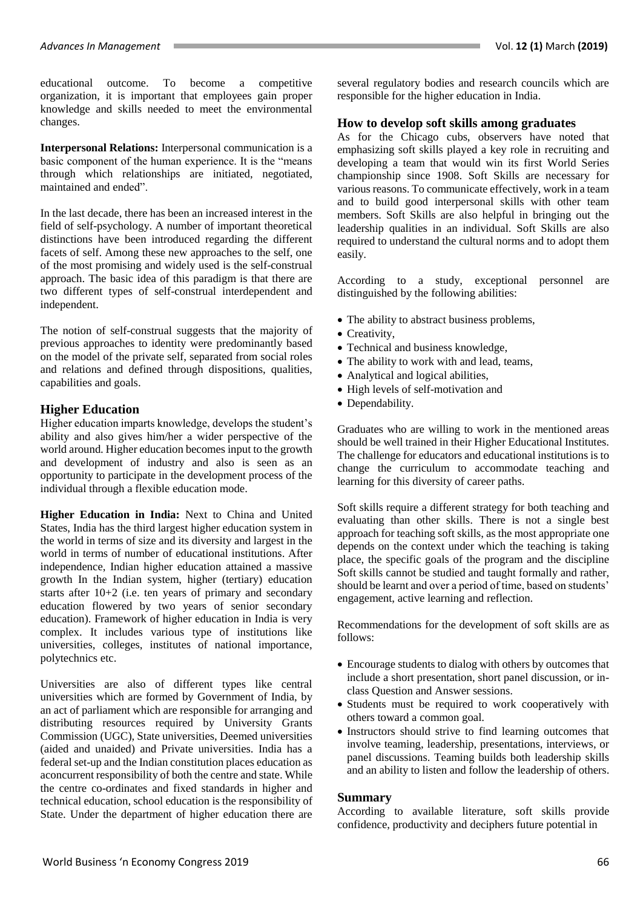educational outcome. To become a competitive organization, it is important that employees gain proper knowledge and skills needed to meet the environmental changes.

**Interpersonal Relations:** Interpersonal communication is a basic component of the human experience. It is the "means through which relationships are initiated, negotiated, maintained and ended".

In the last decade, there has been an increased interest in the field of self-psychology. A number of important theoretical distinctions have been introduced regarding the different facets of self. Among these new approaches to the self, one of the most promising and widely used is the self-construal approach. The basic idea of this paradigm is that there are two different types of self-construal interdependent and independent.

The notion of self-construal suggests that the majority of previous approaches to identity were predominantly based on the model of the private self, separated from social roles and relations and defined through dispositions, qualities, capabilities and goals.

## **Higher Education**

Higher education imparts knowledge, develops the student's ability and also gives him/her a wider perspective of the world around. Higher education becomes input to the growth and development of industry and also is seen as an opportunity to participate in the development process of the individual through a flexible education mode.

**Higher Education in India:** Next to China and United States, India has the third largest higher education system in the world in terms of size and its diversity and largest in the world in terms of number of educational institutions. After independence, Indian higher education attained a massive growth In the Indian system, higher (tertiary) education starts after 10+2 (i.e. ten years of primary and secondary education flowered by two years of senior secondary education). Framework of higher education in India is very complex. It includes various type of institutions like universities, colleges, institutes of national importance, polytechnics etc.

Universities are also of different types like central universities which are formed by Government of India, by an act of parliament which are responsible for arranging and distributing resources required by University Grants Commission (UGC), State universities, Deemed universities (aided and unaided) and Private universities. India has a federal set-up and the Indian constitution places education as aconcurrent responsibility of both the centre and state. While the centre co-ordinates and fixed standards in higher and technical education, school education is the responsibility of State. Under the department of higher education there are several regulatory bodies and research councils which are responsible for the higher education in India.

#### **How to develop soft skills among graduates**

As for the Chicago cubs, observers have noted that emphasizing soft skills played a key role in recruiting and developing a team that would win its first World Series championship since 1908. Soft Skills are necessary for various reasons. To communicate effectively, work in a team and to build good interpersonal skills with other team members. Soft Skills are also helpful in bringing out the leadership qualities in an individual. Soft Skills are also required to understand the cultural norms and to adopt them easily.

According to a study, exceptional personnel are distinguished by the following abilities:

- The ability to abstract business problems,
- Creativity,
- Technical and business knowledge,
- The ability to work with and lead, teams,
- Analytical and logical abilities,
- High levels of self-motivation and
- Dependability.

Graduates who are willing to work in the mentioned areas should be well trained in their Higher Educational Institutes. The challenge for educators and educational institutions is to change the curriculum to accommodate teaching and learning for this diversity of career paths.

Soft skills require a different strategy for both teaching and evaluating than other skills. There is not a single best approach for teaching soft skills, as the most appropriate one depends on the context under which the teaching is taking place, the specific goals of the program and the discipline Soft skills cannot be studied and taught formally and rather, should be learnt and over a period of time, based on students' engagement, active learning and reflection.

Recommendations for the development of soft skills are as follows:

- Encourage students to dialog with others by outcomes that include a short presentation, short panel discussion, or inclass Question and Answer sessions.
- Students must be required to work cooperatively with others toward a common goal.
- Instructors should strive to find learning outcomes that involve teaming, leadership, presentations, interviews, or panel discussions. Teaming builds both leadership skills and an ability to listen and follow the leadership of others.

#### **Summary**

According to available literature, soft skills provide confidence, productivity and deciphers future potential in